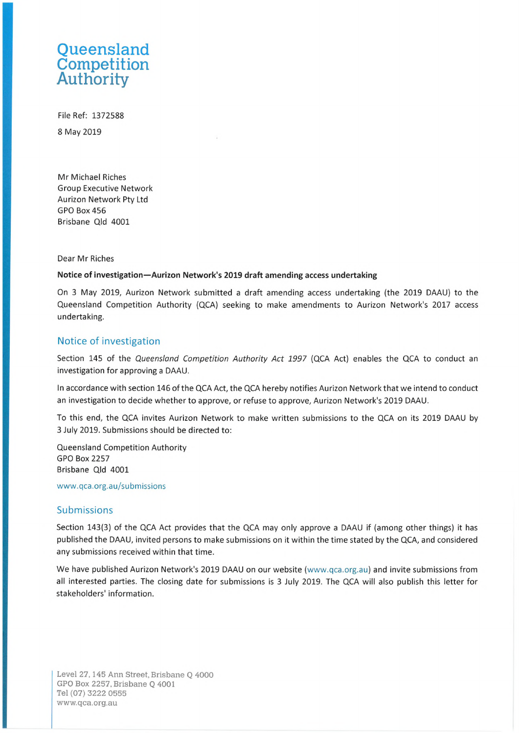## **Queensland Competition Authority**

File Ref: 1372588 8 May 2019

Mr Michael Riches Group Executive Network Aurizon Network Pty Ltd GPO Box 456 Brisbane Qld 4001

Dear Mr Riches

## **Notice of investigation—Aurizon Network's 2019 draft amending access undertaking**

On 3 May 2019, Aurizon Network submitted <sup>a</sup> draft amending access undertaking (the 2019 DAAU) to the Queensland Competition Authority (QCA) seeking to make amendments to Aurizon Network's 2017 access undertaking.

## Notice of investigation

Section 145 of the *Queensland Competition Authority Act 1997* (QCA Act) enables the QCA to conduct an investigation for approving <sup>a</sup> DAAU.

In accordance with section 146 of the QCA Act, the QCA hereby notifies Aurizon Network that we intend to conduct an investigation to decide whether to approve, or refuse to approve, Aurizon Network's 2019 DAAU.

To this end, the QCA invites Aurizon Network to make written submissions to the QCA on its 2019 DAAU by 3 July 2019. Submissions should be directed to:

Queensland Competition Authority **GPO Box 2257** Brisbane Qld 4001

[www.qca.org.au/submissions](http://www.qca.org.au/submissions)

## Submissions

Section 143(3) of the QCA Act provides that the QCA may only approve a DAAU if (among other things) it has published the DAAU, invited persons to make submissions on it within the time stated by the QCA, and considered any submissions received within that time.

We have published Aurizon Network's 2019 DAAU on our website ([www.qca.org.au\)](http://www.qca.org.au) and invite submissions from all interested parties. The closing date for submissions is 3 July 2019. The QCA will also publish this letter for stakeholders' information.

Level 27,145 Ann Street, Brisbane Q 4000 GPO Box 2257, Brisbane Q 4001 Tel (07) 3222 0555 [www.qca.org.au](http://www.qca.org.au)